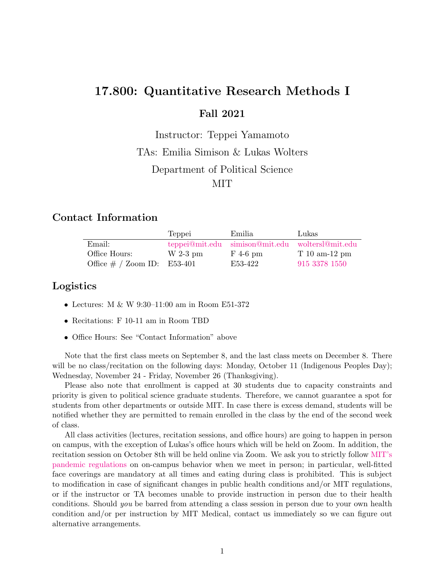# 17.800: Quantitative Research Methods I Fall 2021

Instructor: Teppei Yamamoto TAs: Emilia Simison & Lukas Wolters Department of Political Science MIT

### Contact Information

|                                | Teppei     | Emilia                                          | Lukas          |
|--------------------------------|------------|-------------------------------------------------|----------------|
| Email:                         |            | teppei@mit.edu simison@mit.edu woltersl@mit.edu |                |
| Office Hours:                  | $W$ 2-3 pm | $F$ 4-6 pm                                      | $T10$ am-12 pm |
| Office $\#$ / Zoom ID: E53-401 |            | E53-422                                         | 915 3378 1550  |

### Logistics

- Lectures: M & W 9:30–11:00 am in Room E51-372
- Recitations: F 10-11 am in Room TBD
- Office Hours: See "Contact Information" above

Note that the first class meets on September 8, and the last class meets on December 8. There will be no class/recitation on the following days: Monday, October 11 (Indigenous Peoples Day); Wednesday, November 24 - Friday, November 26 (Thanksgiving).

Please also note that enrollment is capped at 30 students due to capacity constraints and priority is given to political science graduate students. Therefore, we cannot guarantee a spot for students from other departments or outside MIT. In case there is excess demand, students will be notified whether they are permitted to remain enrolled in the class by the end of the second week of class.

All class activities (lectures, recitation sessions, and office hours) are going to happen in person on campus, with the exception of Lukas's office hours which will be held on Zoom. In addition, the recitation session on October 8th will be held online via Zoom. We ask you to strictly follow [MIT's](https://now.mit.edu/) [pandemic regulations](https://now.mit.edu/) on on-campus behavior when we meet in person; in particular, well-fitted face coverings are mandatory at all times and eating during class is prohibited. This is subject to modification in case of significant changes in public health conditions and/or MIT regulations, or if the instructor or TA becomes unable to provide instruction in person due to their health conditions. Should you be barred from attending a class session in person due to your own health condition and/or per instruction by MIT Medical, contact us immediately so we can figure out alternative arrangements.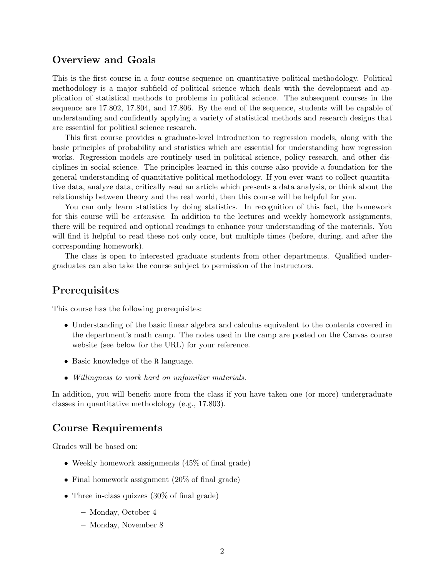### Overview and Goals

This is the first course in a four-course sequence on quantitative political methodology. Political methodology is a major subfield of political science which deals with the development and application of statistical methods to problems in political science. The subsequent courses in the sequence are 17.802, 17.804, and 17.806. By the end of the sequence, students will be capable of understanding and confidently applying a variety of statistical methods and research designs that are essential for political science research.

This first course provides a graduate-level introduction to regression models, along with the basic principles of probability and statistics which are essential for understanding how regression works. Regression models are routinely used in political science, policy research, and other disciplines in social science. The principles learned in this course also provide a foundation for the general understanding of quantitative political methodology. If you ever want to collect quantitative data, analyze data, critically read an article which presents a data analysis, or think about the relationship between theory and the real world, then this course will be helpful for you.

You can only learn statistics by doing statistics. In recognition of this fact, the homework for this course will be *extensive*. In addition to the lectures and weekly homework assignments, there will be required and optional readings to enhance your understanding of the materials. You will find it helpful to read these not only once, but multiple times (before, during, and after the corresponding homework).

The class is open to interested graduate students from other departments. Qualified undergraduates can also take the course subject to permission of the instructors.

#### Prerequisites

This course has the following prerequisites:

- Understanding of the basic linear algebra and calculus equivalent to the contents covered in the department's math camp. The notes used in the camp are posted on the Canvas course website (see below for the URL) for your reference.
- Basic knowledge of the R language.
- Willingness to work hard on unfamiliar materials.

In addition, you will benefit more from the class if you have taken one (or more) undergraduate classes in quantitative methodology (e.g., 17.803).

### Course Requirements

Grades will be based on:

- Weekly homework assignments (45\%) of final grade)
- Final homework assignment (20% of final grade)
- Three in-class quizzes (30\% of final grade)
	- Monday, October 4
	- Monday, November 8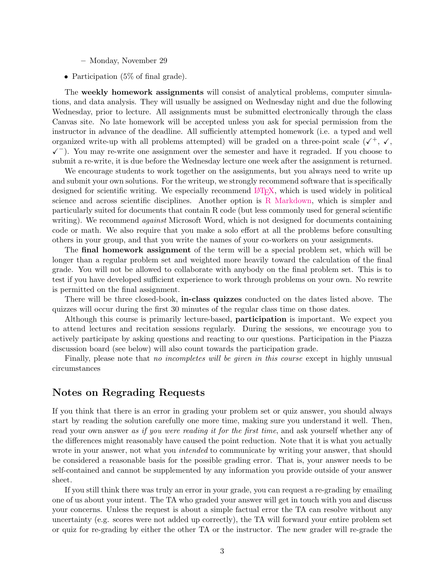- Monday, November 29
- Participation (5\%) of final grade).

The weekly homework assignments will consist of analytical problems, computer simulations, and data analysis. They will usually be assigned on Wednesday night and due the following Wednesday, prior to lecture. All assignments must be submitted electronically through the class Canvas site. No late homework will be accepted unless you ask for special permission from the instructor in advance of the deadline. All sufficiently attempted homework (i.e. a typed and well organized write-up with all problems attempted) will be graded on a three-point scale  $(\checkmark, \checkmark, \checkmark)$  $\checkmark$ ). You may re-write one assignment over the semester and have it regraded. If you choose to submit a re-write, it is due before the Wednesday lecture one week after the assignment is returned.

We encourage students to work together on the assignments, but you always need to write up and submit your own solutions. For the writeup, we strongly recommend software that is specifically designed for scientific writing. We especially recommend LAT<sub>E</sub>X, which is used widely in political science and across scientific disciplines. Another option is [R Markdown,](http://rmarkdown.rstudio.com/) which is simpler and particularly suited for documents that contain R code (but less commonly used for general scientific writing). We recommend *against* Microsoft Word, which is not designed for documents containing code or math. We also require that you make a solo effort at all the problems before consulting others in your group, and that you write the names of your co-workers on your assignments.

The final homework assignment of the term will be a special problem set, which will be longer than a regular problem set and weighted more heavily toward the calculation of the final grade. You will not be allowed to collaborate with anybody on the final problem set. This is to test if you have developed sufficient experience to work through problems on your own. No rewrite is permitted on the final assignment.

There will be three closed-book, in-class quizzes conducted on the dates listed above. The quizzes will occur during the first 30 minutes of the regular class time on those dates.

Although this course is primarily lecture-based, **participation** is important. We expect you to attend lectures and recitation sessions regularly. During the sessions, we encourage you to actively participate by asking questions and reacting to our questions. Participation in the Piazza discussion board (see below) will also count towards the participation grade.

Finally, please note that *no incompletes will be given in this course* except in highly unusual circumstances

#### Notes on Regrading Requests

If you think that there is an error in grading your problem set or quiz answer, you should always start by reading the solution carefully one more time, making sure you understand it well. Then, read your own answer as if you were reading it for the first time, and ask yourself whether any of the differences might reasonably have caused the point reduction. Note that it is what you actually wrote in your answer, not what you *intended* to communicate by writing your answer, that should be considered a reasonable basis for the possible grading error. That is, your answer needs to be self-contained and cannot be supplemented by any information you provide outside of your answer sheet.

If you still think there was truly an error in your grade, you can request a re-grading by emailing one of us about your intent. The TA who graded your answer will get in touch with you and discuss your concerns. Unless the request is about a simple factual error the TA can resolve without any uncertainty (e.g. scores were not added up correctly), the TA will forward your entire problem set or quiz for re-grading by either the other TA or the instructor. The new grader will re-grade the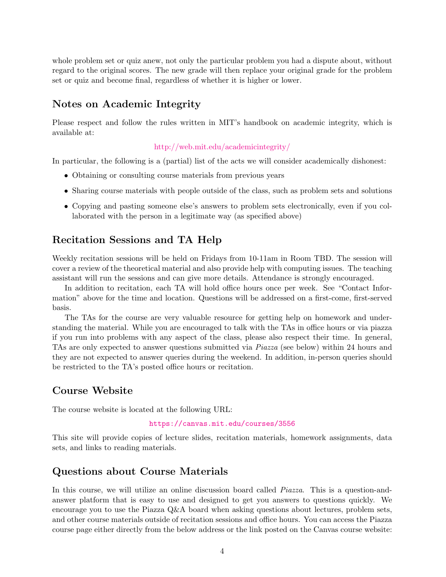whole problem set or quiz anew, not only the particular problem you had a dispute about, without regard to the original scores. The new grade will then replace your original grade for the problem set or quiz and become final, regardless of whether it is higher or lower.

#### Notes on Academic Integrity

Please respect and follow the rules written in MIT's handbook on academic integrity, which is available at:

#### <http://web.mit.edu/academicintegrity/>

In particular, the following is a (partial) list of the acts we will consider academically dishonest:

- Obtaining or consulting course materials from previous years
- Sharing course materials with people outside of the class, such as problem sets and solutions
- Copying and pasting someone else's answers to problem sets electronically, even if you collaborated with the person in a legitimate way (as specified above)

### Recitation Sessions and TA Help

Weekly recitation sessions will be held on Fridays from 10-11am in Room TBD. The session will cover a review of the theoretical material and also provide help with computing issues. The teaching assistant will run the sessions and can give more details. Attendance is strongly encouraged.

In addition to recitation, each TA will hold office hours once per week. See "Contact Information" above for the time and location. Questions will be addressed on a first-come, first-served basis.

The TAs for the course are very valuable resource for getting help on homework and understanding the material. While you are encouraged to talk with the TAs in office hours or via piazza if you run into problems with any aspect of the class, please also respect their time. In general, TAs are only expected to answer questions submitted via Piazza (see below) within 24 hours and they are not expected to answer queries during the weekend. In addition, in-person queries should be restricted to the TA's posted office hours or recitation.

#### Course Website

The course website is located at the following URL:

#### <https://canvas.mit.edu/courses/3556>

This site will provide copies of lecture slides, recitation materials, homework assignments, data sets, and links to reading materials.

#### Questions about Course Materials

In this course, we will utilize an online discussion board called *Piazza*. This is a question-andanswer platform that is easy to use and designed to get you answers to questions quickly. We encourage you to use the Piazza Q&A board when asking questions about lectures, problem sets, and other course materials outside of recitation sessions and office hours. You can access the Piazza course page either directly from the below address or the link posted on the Canvas course website: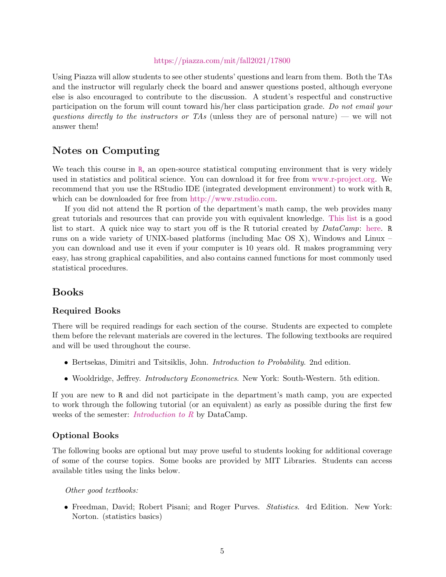#### <https://piazza.com/mit/fall2021/17800>

Using Piazza will allow students to see other students' questions and learn from them. Both the TAs and the instructor will regularly check the board and answer questions posted, although everyone else is also encouraged to contribute to the discussion. A student's respectful and constructive participation on the forum will count toward his/her class participation grade. Do not email your questions directly to the instructors or TAs (unless they are of personal nature) — we will not answer them!

#### Notes on Computing

We teach this course in [R](http://www.r-project.org/), an open-source statistical computing environment that is very widely used in statistics and political science. You can download it for free from [www.r-project.org.](http://www.r-project.org/) We recommend that you use the RStudio IDE (integrated development environment) to work with R, which can be downloaded for free from [http://www.rstudio.com.](http://www.rstudio.com)

If you did not attend the R portion of the department's math camp, the web provides many great tutorials and resources that can provide you with equivalent knowledge. [This list](https://www.rstudio.com/online-learning/#R) is a good list to start. A quick nice way to start you off is the R tutorial created by  $DataCampr$ : [here.](https://www.datacamp.com/courses/free-introduction-to-r) R runs on a wide variety of UNIX-based platforms (including Mac OS X), Windows and Linux – you can download and use it even if your computer is 10 years old. R makes programming very easy, has strong graphical capabilities, and also contains canned functions for most commonly used statistical procedures.

#### Books

#### Required Books

There will be required readings for each section of the course. Students are expected to complete them before the relevant materials are covered in the lectures. The following textbooks are required and will be used throughout the course.

- Bertsekas, Dimitri and Tsitsiklis, John. Introduction to Probability. 2nd edition.
- Wooldridge, Jeffrey. *Introductory Econometrics*. New York: South-Western. 5th edition.

If you are new to R and did not participate in the department's math camp, you are expected to work through the following tutorial (or an equivalent) as early as possible during the first few weeks of the semester: *[Introduction to R](https://www.datacamp.com/courses/free-introduction-to-r)* by DataCamp.

#### Optional Books

The following books are optional but may prove useful to students looking for additional coverage of some of the course topics. Some books are provided by MIT Libraries. Students can access available titles using the links below.

Other good textbooks:

• Freedman, David; Robert Pisani; and Roger Purves. Statistics. 4rd Edition. New York: Norton. (statistics basics)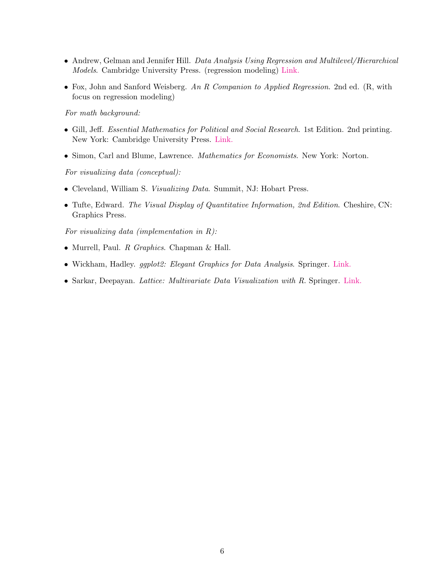- Andrew, Gelman and Jennifer Hill. Data Analysis Using Regression and Multilevel/Hierarchical Models. Cambridge University Press. (regression modeling) [Link.](https://ebookcentral.proquest.com/lib/mit/detail.action?docID=288457)
- Fox, John and Sanford Weisberg. An R Companion to Applied Regression. 2nd ed. (R, with focus on regression modeling)

For math background:

- Gill, Jeff. Essential Mathematics for Political and Social Research. 1st Edition. 2nd printing. New York: Cambridge University Press. [Link.](https://cup.org/3hRGvX8)
- Simon, Carl and Blume, Lawrence. Mathematics for Economists. New York: Norton.

For visualizing data (conceptual):

- Cleveland, William S. Visualizing Data. Summit, NJ: Hobart Press.
- Tufte, Edward. The Visual Display of Quantitative Information, 2nd Edition. Cheshire, CN: Graphics Press.

For visualizing data (implementation in R):

- Murrell, Paul. R Graphics. Chapman & Hall.
- Wickham, Hadley. ggplot2: Elegant Graphics for Data Analysis. Springer. [Link.](https://link.springer.com/book/10.1007%2F978-3-319-24277-4)
- Sarkar, Deepayan. Lattice: Multivariate Data Visualization with R. Springer. [Link.](https://link.springer.com/book/10.1007%2F978-0-387-75969-2)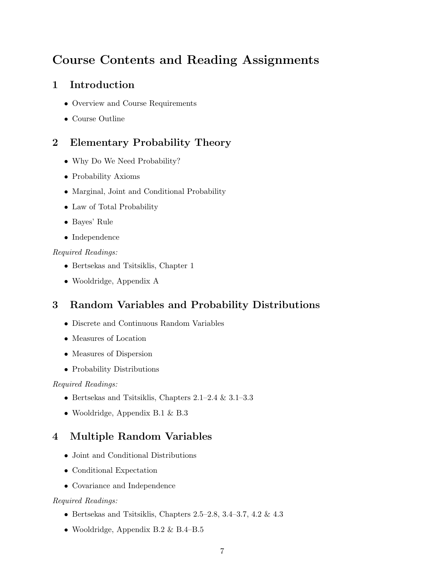# Course Contents and Reading Assignments

## 1 Introduction

- Overview and Course Requirements
- Course Outline

## 2 Elementary Probability Theory

- Why Do We Need Probability?
- Probability Axioms
- Marginal, Joint and Conditional Probability
- Law of Total Probability
- Bayes' Rule
- Independence

#### Required Readings:

- Bertsekas and Tsitsiklis, Chapter 1
- Wooldridge, Appendix A

## 3 Random Variables and Probability Distributions

- Discrete and Continuous Random Variables
- Measures of Location
- Measures of Dispersion
- Probability Distributions

#### Required Readings:

- Bertsekas and Tsitsiklis, Chapters 2.1–2.4 & 3.1–3.3
- Wooldridge, Appendix B.1 & B.3

## 4 Multiple Random Variables

- Joint and Conditional Distributions
- Conditional Expectation
- Covariance and Independence

#### Required Readings:

- Bertsekas and Tsitsiklis, Chapters 2.5–2.8, 3.4–3.7, 4.2  $\&$  4.3
- Wooldridge, Appendix B.2 & B.4–B.5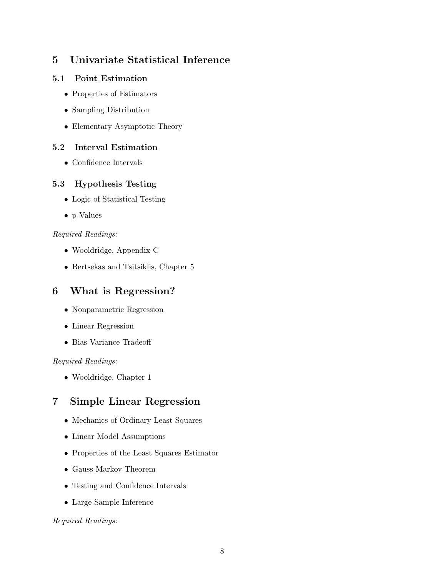## 5 Univariate Statistical Inference

#### 5.1 Point Estimation

- Properties of Estimators
- Sampling Distribution
- Elementary Asymptotic Theory

#### 5.2 Interval Estimation

• Confidence Intervals

#### 5.3 Hypothesis Testing

- Logic of Statistical Testing
- p-Values

#### Required Readings:

- Wooldridge, Appendix C
- Bertsekas and Tsitsiklis, Chapter 5

### 6 What is Regression?

- Nonparametric Regression
- Linear Regression
- Bias-Variance Tradeoff

#### Required Readings:

• Wooldridge, Chapter 1

### 7 Simple Linear Regression

- Mechanics of Ordinary Least Squares
- Linear Model Assumptions
- Properties of the Least Squares Estimator
- Gauss-Markov Theorem
- Testing and Confidence Intervals
- Large Sample Inference

Required Readings: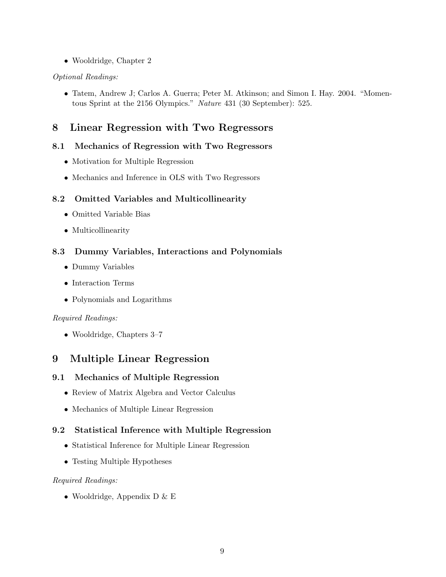• Wooldridge, Chapter 2

#### Optional Readings:

• Tatem, Andrew J; Carlos A. Guerra; Peter M. Atkinson; and Simon I. Hay. 2004. "Momentous Sprint at the 2156 Olympics." Nature 431 (30 September): 525.

### 8 Linear Regression with Two Regressors

#### 8.1 Mechanics of Regression with Two Regressors

- Motivation for Multiple Regression
- Mechanics and Inference in OLS with Two Regressors

#### 8.2 Omitted Variables and Multicollinearity

- Omitted Variable Bias
- Multicollinearity

#### 8.3 Dummy Variables, Interactions and Polynomials

- Dummy Variables
- Interaction Terms
- Polynomials and Logarithms

#### Required Readings:

• Wooldridge, Chapters 3–7

### 9 Multiple Linear Regression

#### 9.1 Mechanics of Multiple Regression

- Review of Matrix Algebra and Vector Calculus
- Mechanics of Multiple Linear Regression

#### 9.2 Statistical Inference with Multiple Regression

- Statistical Inference for Multiple Linear Regression
- Testing Multiple Hypotheses

#### Required Readings:

• Wooldridge, Appendix D & E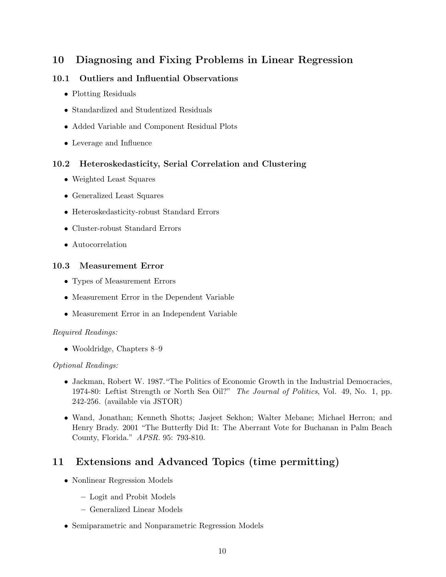## 10 Diagnosing and Fixing Problems in Linear Regression

#### 10.1 Outliers and Influential Observations

- Plotting Residuals
- Standardized and Studentized Residuals
- Added Variable and Component Residual Plots
- Leverage and Influence

#### 10.2 Heteroskedasticity, Serial Correlation and Clustering

- Weighted Least Squares
- Generalized Least Squares
- Heteroskedasticity-robust Standard Errors
- Cluster-robust Standard Errors
- Autocorrelation

#### 10.3 Measurement Error

- Types of Measurement Errors
- Measurement Error in the Dependent Variable
- Measurement Error in an Independent Variable

#### Required Readings:

• Wooldridge, Chapters 8–9

#### Optional Readings:

- Jackman, Robert W. 1987."The Politics of Economic Growth in the Industrial Democracies, 1974-80: Leftist Strength or North Sea Oil?" The Journal of Politics, Vol. 49, No. 1, pp. 242-256. (available via JSTOR)
- Wand, Jonathan; Kenneth Shotts; Jasjeet Sekhon; Walter Mebane; Michael Herron; and Henry Brady. 2001 "The Butterfly Did It: The Aberrant Vote for Buchanan in Palm Beach County, Florida." APSR. 95: 793-810.

### 11 Extensions and Advanced Topics (time permitting)

- Nonlinear Regression Models
	- Logit and Probit Models
	- Generalized Linear Models
- Semiparametric and Nonparametric Regression Models